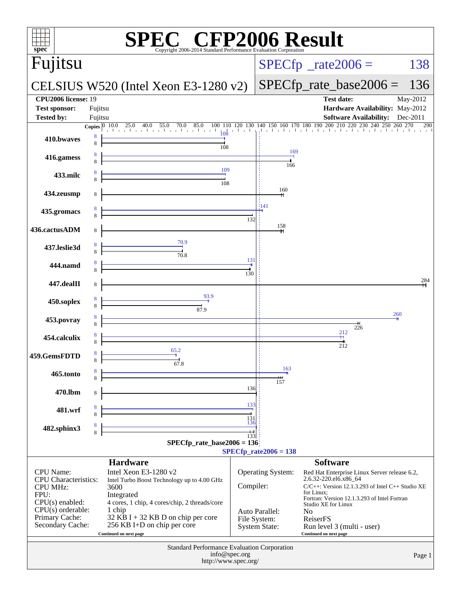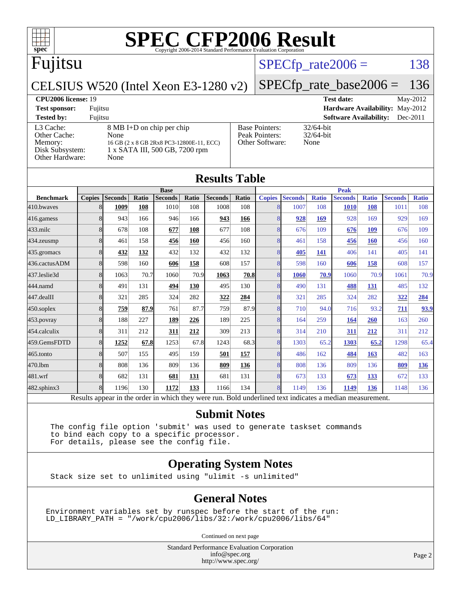## Fujitsu

#### $SPECTp_rate2006 = 138$

#### CELSIUS W520 (Intel Xeon E3-1280 v2) [SPECfp\\_rate\\_base2006 =](http://www.spec.org/auto/cpu2006/Docs/result-fields.html#SPECfpratebase2006) 136

#### **[CPU2006 license:](http://www.spec.org/auto/cpu2006/Docs/result-fields.html#CPU2006license)** 19 **[Test date:](http://www.spec.org/auto/cpu2006/Docs/result-fields.html#Testdate)** May-2012

**[Test sponsor:](http://www.spec.org/auto/cpu2006/Docs/result-fields.html#Testsponsor)** Fujitsu **[Hardware Availability:](http://www.spec.org/auto/cpu2006/Docs/result-fields.html#HardwareAvailability)** May-2012 **[Tested by:](http://www.spec.org/auto/cpu2006/Docs/result-fields.html#Testedby)** Fujitsu **[Software Availability:](http://www.spec.org/auto/cpu2006/Docs/result-fields.html#SoftwareAvailability)** Dec-2011 [L3 Cache:](http://www.spec.org/auto/cpu2006/Docs/result-fields.html#L3Cache) 8 MB I+D on chip per chip<br>Other Cache: None [Other Cache:](http://www.spec.org/auto/cpu2006/Docs/result-fields.html#OtherCache) [Memory:](http://www.spec.org/auto/cpu2006/Docs/result-fields.html#Memory) 16 GB (2 x 8 GB 2Rx8 PC3-12800E-11, ECC) [Disk Subsystem:](http://www.spec.org/auto/cpu2006/Docs/result-fields.html#DiskSubsystem) 1 x SATA III, 500 GB, 7200 rpm [Other Hardware:](http://www.spec.org/auto/cpu2006/Docs/result-fields.html#OtherHardware) None

|                                                            | So                             |
|------------------------------------------------------------|--------------------------------|
| <b>Base Pointers:</b><br>Peak Pointers:<br>Other Software: | 32/64-bit<br>32/64-bit<br>None |
|                                                            |                                |

|                  |               |                |       |                |       | <b>Results Table</b> |             |               |                |              |                |              |                |              |
|------------------|---------------|----------------|-------|----------------|-------|----------------------|-------------|---------------|----------------|--------------|----------------|--------------|----------------|--------------|
|                  | <b>Base</b>   |                |       |                |       |                      | <b>Peak</b> |               |                |              |                |              |                |              |
| <b>Benchmark</b> | <b>Copies</b> | <b>Seconds</b> | Ratio | <b>Seconds</b> | Ratio | <b>Seconds</b>       | Ratio       | <b>Copies</b> | <b>Seconds</b> | <b>Ratio</b> | <b>Seconds</b> | <b>Ratio</b> | <b>Seconds</b> | <b>Ratio</b> |
| 410.bwayes       | 8             | 1009           | 108   | 1010           | 108   | 1008                 | 108         | 8             | 1007           | 108          | <b>1010</b>    | 108          | 1011           | 108          |
| $416$ .gamess    | 8             | 943            | 166   | 946            | 166   | 943                  | 166         | 8             | 928            | 169          | 928            | 169          | 929            | 169          |
| $433$ .milc      | 8             | 678            | 108   | 677            | 108   | 677                  | 108         | 8             | 676            | 109          | 676            | 109          | 676            | 109          |
| 434.zeusmp       | 8             | 461            | 158   | 456            | 160   | 456                  | 160         | 8             | 461            | 158          | 456            | 160          | 456            | 160          |
| 435.gromacs      | 8             | 432            | 132   | 432            | 132   | 432                  | 132         | 8             | 405            | 141          | 406            | 141          | 405            | 141          |
| 436.cactusADM    | 8             | 598            | 160   | 606            | 158   | 608                  | 157         | 8             | 598            | 160          | 606            | 158          | 608            | 157          |
| 437.leslie3d     | 8             | 1063           | 70.7  | 1060           | 70.9  | 1063                 | 70.8        | 8             | 1060           | 70.9         | 1060           | 70.9         | 1061           | 70.9         |
| 444.namd         | 8             | 491            | 131   | 494            | 130   | 495                  | 130         | 8             | 490            | 131          | 488            | 131          | 485            | 132          |
| 447.dealII       | 8             | 321            | 285   | 324            | 282   | 322                  | 284         | 8             | 321            | 285          | 324            | 282          | 322            | 284          |
| $450$ .soplex    | 8             | 759            | 87.9  | 761            | 87.7  | 759                  | 87.9        | 8             | 710            | 94.0         | 716            | 93.2         | 711            | 93.9         |
| 453.povray       | 8             | 188            | 227   | 189            | 226   | 189                  | 225         | 8             | 164            | 259          | <u>164</u>     | <b>260</b>   | 163            | 260          |
| 454.calculix     | 8             | 311            | 212   | 311            | 212   | 309                  | 213         | 8             | 314            | 210          | 311            | 212          | 311            | 212          |
| 459.GemsFDTD     | 8             | 1252           | 67.8  | 1253           | 67.8  | 1243                 | 68.3        | 8             | 1303           | 65.2         | 1303           | 65.2         | 1298           | 65.4         |
| 465.tonto        | 8             | 507            | 155   | 495            | 159   | 501                  | 157         | 8             | 486            | 162          | 484            | 163          | 482            | 163          |
| 470.1bm          | 8             | 808            | 136   | 809            | 136   | 809                  | 136         | 8             | 808            | 136          | 809            | 136          | 809            | 136          |
| 481.wrf          | 8             | 682            | 131   | 681            | 131   | 681                  | 131         | 8             | 673            | 133          | 673            | 133          | 672            | 133          |
| 482.sphinx3      | 8             | 1196           | 130   | 1172           | 133   | 1166                 | 134         | 8             | 1149           | 136          | 1149           | 136          | 1148           | 136          |

Results appear in the [order in which they were run.](http://www.spec.org/auto/cpu2006/Docs/result-fields.html#RunOrder) Bold underlined text [indicates a median measurement.](http://www.spec.org/auto/cpu2006/Docs/result-fields.html#Median)

#### **[Submit Notes](http://www.spec.org/auto/cpu2006/Docs/result-fields.html#SubmitNotes)**

 The config file option 'submit' was used to generate taskset commands to bind each copy to a specific processor. For details, please see the config file.

#### **[Operating System Notes](http://www.spec.org/auto/cpu2006/Docs/result-fields.html#OperatingSystemNotes)**

Stack size set to unlimited using "ulimit -s unlimited"

#### **[General Notes](http://www.spec.org/auto/cpu2006/Docs/result-fields.html#GeneralNotes)**

Environment variables set by runspec before the start of the run: LD\_LIBRARY\_PATH = "/work/cpu2006/libs/32:/work/cpu2006/libs/64"

Continued on next page

Standard Performance Evaluation Corporation [info@spec.org](mailto:info@spec.org) <http://www.spec.org/>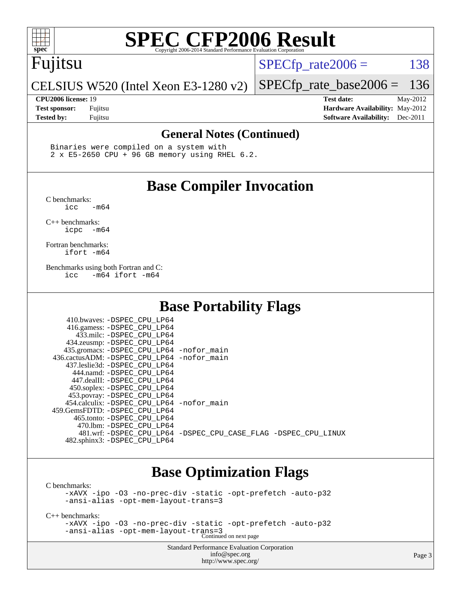### Fujitsu

 $SPECTp\_rate2006 = 138$ 

CELSIUS W520 (Intel Xeon E3-1280 v2)

**[Test sponsor:](http://www.spec.org/auto/cpu2006/Docs/result-fields.html#Testsponsor)** Fujitsu **[Hardware Availability:](http://www.spec.org/auto/cpu2006/Docs/result-fields.html#HardwareAvailability)** May-2012 **[Tested by:](http://www.spec.org/auto/cpu2006/Docs/result-fields.html#Testedby)** Fujitsu **[Software Availability:](http://www.spec.org/auto/cpu2006/Docs/result-fields.html#SoftwareAvailability)** Dec-2011

[SPECfp\\_rate\\_base2006 =](http://www.spec.org/auto/cpu2006/Docs/result-fields.html#SPECfpratebase2006) 136 **[CPU2006 license:](http://www.spec.org/auto/cpu2006/Docs/result-fields.html#CPU2006license)** 19 **[Test date:](http://www.spec.org/auto/cpu2006/Docs/result-fields.html#Testdate)** May-2012

**[General Notes \(Continued\)](http://www.spec.org/auto/cpu2006/Docs/result-fields.html#GeneralNotes)**

 Binaries were compiled on a system with 2 x E5-2650 CPU + 96 GB memory using RHEL 6.2.

### **[Base Compiler Invocation](http://www.spec.org/auto/cpu2006/Docs/result-fields.html#BaseCompilerInvocation)**

[C benchmarks](http://www.spec.org/auto/cpu2006/Docs/result-fields.html#Cbenchmarks):  $\text{icc}$   $-\text{m64}$ 

[C++ benchmarks:](http://www.spec.org/auto/cpu2006/Docs/result-fields.html#CXXbenchmarks) [icpc -m64](http://www.spec.org/cpu2006/results/res2012q3/cpu2006-20120615-22889.flags.html#user_CXXbase_intel_icpc_64bit_bedb90c1146cab66620883ef4f41a67e)

[Fortran benchmarks](http://www.spec.org/auto/cpu2006/Docs/result-fields.html#Fortranbenchmarks): [ifort -m64](http://www.spec.org/cpu2006/results/res2012q3/cpu2006-20120615-22889.flags.html#user_FCbase_intel_ifort_64bit_ee9d0fb25645d0210d97eb0527dcc06e)

[Benchmarks using both Fortran and C](http://www.spec.org/auto/cpu2006/Docs/result-fields.html#BenchmarksusingbothFortranandC): [icc -m64](http://www.spec.org/cpu2006/results/res2012q3/cpu2006-20120615-22889.flags.html#user_CC_FCbase_intel_icc_64bit_0b7121f5ab7cfabee23d88897260401c) [ifort -m64](http://www.spec.org/cpu2006/results/res2012q3/cpu2006-20120615-22889.flags.html#user_CC_FCbase_intel_ifort_64bit_ee9d0fb25645d0210d97eb0527dcc06e)

### **[Base Portability Flags](http://www.spec.org/auto/cpu2006/Docs/result-fields.html#BasePortabilityFlags)**

| 410.bwaves: -DSPEC CPU LP64<br>416.gamess: -DSPEC_CPU_LP64<br>433.milc: -DSPEC CPU LP64<br>434.zeusmp: -DSPEC_CPU_LP64<br>435.gromacs: -DSPEC_CPU_LP64 -nofor_main<br>436.cactusADM: -DSPEC CPU LP64 -nofor main<br>437.leslie3d: -DSPEC CPU LP64<br>444.namd: -DSPEC CPU LP64<br>447.dealII: -DSPEC CPU LP64<br>450.soplex: -DSPEC_CPU_LP64 |                                                                |
|----------------------------------------------------------------------------------------------------------------------------------------------------------------------------------------------------------------------------------------------------------------------------------------------------------------------------------------------|----------------------------------------------------------------|
| 453.povray: -DSPEC_CPU_LP64<br>454.calculix: - DSPEC CPU LP64 - nofor main<br>459.GemsFDTD: -DSPEC CPU LP64<br>465.tonto: -DSPEC_CPU LP64                                                                                                                                                                                                    |                                                                |
| 470.1bm: - DSPEC CPU LP64<br>482.sphinx3: -DSPEC_CPU_LP64                                                                                                                                                                                                                                                                                    | 481.wrf: -DSPEC CPU_LP64 -DSPEC_CPU_CASE_FLAG -DSPEC_CPU_LINUX |

### **[Base Optimization Flags](http://www.spec.org/auto/cpu2006/Docs/result-fields.html#BaseOptimizationFlags)**

[C benchmarks](http://www.spec.org/auto/cpu2006/Docs/result-fields.html#Cbenchmarks):

[-xAVX](http://www.spec.org/cpu2006/results/res2012q3/cpu2006-20120615-22889.flags.html#user_CCbase_f-xAVX) [-ipo](http://www.spec.org/cpu2006/results/res2012q3/cpu2006-20120615-22889.flags.html#user_CCbase_f-ipo) [-O3](http://www.spec.org/cpu2006/results/res2012q3/cpu2006-20120615-22889.flags.html#user_CCbase_f-O3) [-no-prec-div](http://www.spec.org/cpu2006/results/res2012q3/cpu2006-20120615-22889.flags.html#user_CCbase_f-no-prec-div) [-static](http://www.spec.org/cpu2006/results/res2012q3/cpu2006-20120615-22889.flags.html#user_CCbase_f-static) [-opt-prefetch](http://www.spec.org/cpu2006/results/res2012q3/cpu2006-20120615-22889.flags.html#user_CCbase_f-opt-prefetch) [-auto-p32](http://www.spec.org/cpu2006/results/res2012q3/cpu2006-20120615-22889.flags.html#user_CCbase_f-auto-p32) [-ansi-alias](http://www.spec.org/cpu2006/results/res2012q3/cpu2006-20120615-22889.flags.html#user_CCbase_f-ansi-alias) [-opt-mem-layout-trans=3](http://www.spec.org/cpu2006/results/res2012q3/cpu2006-20120615-22889.flags.html#user_CCbase_f-opt-mem-layout-trans_a7b82ad4bd7abf52556d4961a2ae94d5)

[C++ benchmarks:](http://www.spec.org/auto/cpu2006/Docs/result-fields.html#CXXbenchmarks)

[-xAVX](http://www.spec.org/cpu2006/results/res2012q3/cpu2006-20120615-22889.flags.html#user_CXXbase_f-xAVX) [-ipo](http://www.spec.org/cpu2006/results/res2012q3/cpu2006-20120615-22889.flags.html#user_CXXbase_f-ipo) [-O3](http://www.spec.org/cpu2006/results/res2012q3/cpu2006-20120615-22889.flags.html#user_CXXbase_f-O3) [-no-prec-div](http://www.spec.org/cpu2006/results/res2012q3/cpu2006-20120615-22889.flags.html#user_CXXbase_f-no-prec-div) [-static](http://www.spec.org/cpu2006/results/res2012q3/cpu2006-20120615-22889.flags.html#user_CXXbase_f-static) [-opt-prefetch](http://www.spec.org/cpu2006/results/res2012q3/cpu2006-20120615-22889.flags.html#user_CXXbase_f-opt-prefetch) [-auto-p32](http://www.spec.org/cpu2006/results/res2012q3/cpu2006-20120615-22889.flags.html#user_CXXbase_f-auto-p32) [-ansi-alias](http://www.spec.org/cpu2006/results/res2012q3/cpu2006-20120615-22889.flags.html#user_CXXbase_f-ansi-alias) [-opt-mem-layout-trans=3](http://www.spec.org/cpu2006/results/res2012q3/cpu2006-20120615-22889.flags.html#user_CXXbase_f-opt-mem-layout-trans_a7b82ad4bd7abf52556d4961a2ae94d5) Continued on next page

> Standard Performance Evaluation Corporation [info@spec.org](mailto:info@spec.org) <http://www.spec.org/>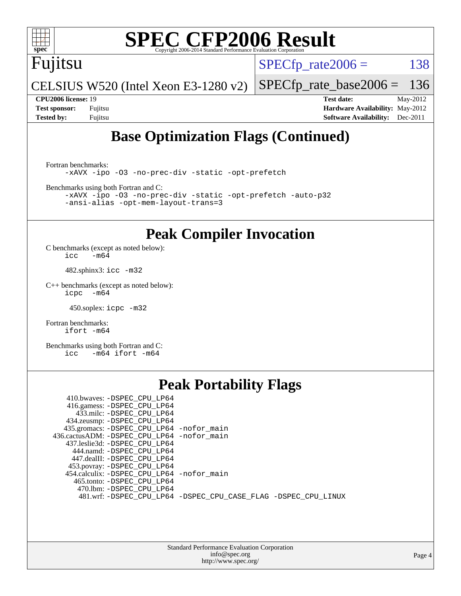

## Fujitsu

 $SPECTp_rate2006 = 138$ 

CELSIUS W520 (Intel Xeon E3-1280 v2) [SPECfp\\_rate\\_base2006 =](http://www.spec.org/auto/cpu2006/Docs/result-fields.html#SPECfpratebase2006) 136

**[CPU2006 license:](http://www.spec.org/auto/cpu2006/Docs/result-fields.html#CPU2006license)** 19 **[Test date:](http://www.spec.org/auto/cpu2006/Docs/result-fields.html#Testdate)** May-2012 **[Test sponsor:](http://www.spec.org/auto/cpu2006/Docs/result-fields.html#Testsponsor)** Fujitsu **[Hardware Availability:](http://www.spec.org/auto/cpu2006/Docs/result-fields.html#HardwareAvailability)** May-2012 **[Tested by:](http://www.spec.org/auto/cpu2006/Docs/result-fields.html#Testedby)** Fujitsu **[Software Availability:](http://www.spec.org/auto/cpu2006/Docs/result-fields.html#SoftwareAvailability)** Dec-2011

## **[Base Optimization Flags \(Continued\)](http://www.spec.org/auto/cpu2006/Docs/result-fields.html#BaseOptimizationFlags)**

[Fortran benchmarks](http://www.spec.org/auto/cpu2006/Docs/result-fields.html#Fortranbenchmarks): [-xAVX](http://www.spec.org/cpu2006/results/res2012q3/cpu2006-20120615-22889.flags.html#user_FCbase_f-xAVX) [-ipo](http://www.spec.org/cpu2006/results/res2012q3/cpu2006-20120615-22889.flags.html#user_FCbase_f-ipo) [-O3](http://www.spec.org/cpu2006/results/res2012q3/cpu2006-20120615-22889.flags.html#user_FCbase_f-O3) [-no-prec-div](http://www.spec.org/cpu2006/results/res2012q3/cpu2006-20120615-22889.flags.html#user_FCbase_f-no-prec-div) [-static](http://www.spec.org/cpu2006/results/res2012q3/cpu2006-20120615-22889.flags.html#user_FCbase_f-static) [-opt-prefetch](http://www.spec.org/cpu2006/results/res2012q3/cpu2006-20120615-22889.flags.html#user_FCbase_f-opt-prefetch)

[Benchmarks using both Fortran and C](http://www.spec.org/auto/cpu2006/Docs/result-fields.html#BenchmarksusingbothFortranandC):

[-xAVX](http://www.spec.org/cpu2006/results/res2012q3/cpu2006-20120615-22889.flags.html#user_CC_FCbase_f-xAVX) [-ipo](http://www.spec.org/cpu2006/results/res2012q3/cpu2006-20120615-22889.flags.html#user_CC_FCbase_f-ipo) [-O3](http://www.spec.org/cpu2006/results/res2012q3/cpu2006-20120615-22889.flags.html#user_CC_FCbase_f-O3) [-no-prec-div](http://www.spec.org/cpu2006/results/res2012q3/cpu2006-20120615-22889.flags.html#user_CC_FCbase_f-no-prec-div) [-static](http://www.spec.org/cpu2006/results/res2012q3/cpu2006-20120615-22889.flags.html#user_CC_FCbase_f-static) [-opt-prefetch](http://www.spec.org/cpu2006/results/res2012q3/cpu2006-20120615-22889.flags.html#user_CC_FCbase_f-opt-prefetch) [-auto-p32](http://www.spec.org/cpu2006/results/res2012q3/cpu2006-20120615-22889.flags.html#user_CC_FCbase_f-auto-p32) [-ansi-alias](http://www.spec.org/cpu2006/results/res2012q3/cpu2006-20120615-22889.flags.html#user_CC_FCbase_f-ansi-alias) [-opt-mem-layout-trans=3](http://www.spec.org/cpu2006/results/res2012q3/cpu2006-20120615-22889.flags.html#user_CC_FCbase_f-opt-mem-layout-trans_a7b82ad4bd7abf52556d4961a2ae94d5)

### **[Peak Compiler Invocation](http://www.spec.org/auto/cpu2006/Docs/result-fields.html#PeakCompilerInvocation)**

[C benchmarks \(except as noted below\)](http://www.spec.org/auto/cpu2006/Docs/result-fields.html#Cbenchmarksexceptasnotedbelow):  $\text{icc}$  -m64

482.sphinx3: [icc -m32](http://www.spec.org/cpu2006/results/res2012q3/cpu2006-20120615-22889.flags.html#user_peakCCLD482_sphinx3_intel_icc_a6a621f8d50482236b970c6ac5f55f93)

[C++ benchmarks \(except as noted below\):](http://www.spec.org/auto/cpu2006/Docs/result-fields.html#CXXbenchmarksexceptasnotedbelow) [icpc -m64](http://www.spec.org/cpu2006/results/res2012q3/cpu2006-20120615-22889.flags.html#user_CXXpeak_intel_icpc_64bit_bedb90c1146cab66620883ef4f41a67e)

450.soplex: [icpc -m32](http://www.spec.org/cpu2006/results/res2012q3/cpu2006-20120615-22889.flags.html#user_peakCXXLD450_soplex_intel_icpc_4e5a5ef1a53fd332b3c49e69c3330699)

[Fortran benchmarks](http://www.spec.org/auto/cpu2006/Docs/result-fields.html#Fortranbenchmarks): [ifort -m64](http://www.spec.org/cpu2006/results/res2012q3/cpu2006-20120615-22889.flags.html#user_FCpeak_intel_ifort_64bit_ee9d0fb25645d0210d97eb0527dcc06e)

[Benchmarks using both Fortran and C](http://www.spec.org/auto/cpu2006/Docs/result-fields.html#BenchmarksusingbothFortranandC): [icc -m64](http://www.spec.org/cpu2006/results/res2012q3/cpu2006-20120615-22889.flags.html#user_CC_FCpeak_intel_icc_64bit_0b7121f5ab7cfabee23d88897260401c) [ifort -m64](http://www.spec.org/cpu2006/results/res2012q3/cpu2006-20120615-22889.flags.html#user_CC_FCpeak_intel_ifort_64bit_ee9d0fb25645d0210d97eb0527dcc06e)

### **[Peak Portability Flags](http://www.spec.org/auto/cpu2006/Docs/result-fields.html#PeakPortabilityFlags)**

| 410.bwaves: -DSPEC CPU LP64                |                                                                |
|--------------------------------------------|----------------------------------------------------------------|
| 416.gamess: -DSPEC_CPU_LP64                |                                                                |
| 433.milc: -DSPEC_CPU_LP64                  |                                                                |
| 434.zeusmp: -DSPEC_CPU_LP64                |                                                                |
| 435.gromacs: -DSPEC_CPU_LP64 -nofor_main   |                                                                |
| 436.cactusADM: -DSPEC CPU LP64 -nofor main |                                                                |
| 437.leslie3d: -DSPEC_CPU_LP64              |                                                                |
| 444.namd: -DSPEC CPU LP64                  |                                                                |
| 447.dealII: -DSPEC CPU LP64                |                                                                |
| 453.povray: -DSPEC_CPU_LP64                |                                                                |
| 454.calculix: -DSPEC_CPU_LP64 -nofor_main  |                                                                |
| 465.tonto: -DSPEC CPU LP64                 |                                                                |
| 470.1bm: -DSPEC CPU LP64                   |                                                                |
|                                            | 481.wrf: -DSPEC_CPU_LP64 -DSPEC_CPU_CASE_FLAG -DSPEC_CPU_LINUX |
|                                            |                                                                |

| <b>Standard Performance Evaluation Corporation</b> |
|----------------------------------------------------|
| info@spec.org                                      |
| http://www.spec.org/                               |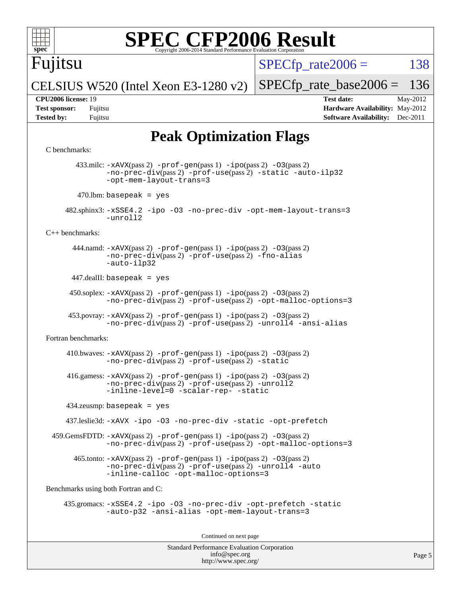

## Fujitsu

 $SPECTp\_rate2006 = 138$ 

CELSIUS W520 (Intel Xeon E3-1280 v2)

**[Test sponsor:](http://www.spec.org/auto/cpu2006/Docs/result-fields.html#Testsponsor)** Fujitsu **[Hardware Availability:](http://www.spec.org/auto/cpu2006/Docs/result-fields.html#HardwareAvailability)** May-2012 **[Tested by:](http://www.spec.org/auto/cpu2006/Docs/result-fields.html#Testedby)** Fujitsu **Fujitsu <b>[Software Availability:](http://www.spec.org/auto/cpu2006/Docs/result-fields.html#SoftwareAvailability)** Dec-2011

[SPECfp\\_rate\\_base2006 =](http://www.spec.org/auto/cpu2006/Docs/result-fields.html#SPECfpratebase2006) 136 **[CPU2006 license:](http://www.spec.org/auto/cpu2006/Docs/result-fields.html#CPU2006license)** 19 **[Test date:](http://www.spec.org/auto/cpu2006/Docs/result-fields.html#Testdate)** May-2012

**[Peak Optimization Flags](http://www.spec.org/auto/cpu2006/Docs/result-fields.html#PeakOptimizationFlags)**

#### [C benchmarks](http://www.spec.org/auto/cpu2006/Docs/result-fields.html#Cbenchmarks):

```
Standard Performance Evaluation Corporation
                                          info@spec.org
        433.milc: -xAVX(pass 2) -prof-gen(pass 1) -ipo(pass 2) -O3(pass 2)
                -no-prec-div(pass 2) -prof-use(pass 2) -static -auto-ilp32
               -opt-mem-layout-trans=3
        470.lbm: basepeak = yes
      482.sphinx3: -xSSE4.2 -ipo -O3 -no-prec-div -opt-mem-layout-trans=3
                -unroll2
C++ benchmarks: 
        444.namd: -xAVX(pass 2) -prof-gen(pass 1) -ipo(pass 2) -O3(pass 2)
               -no-prec-div(pass 2) -prof-use(pass 2) -fno-alias
                -auto-ilp32
       447.dealII: basepeak = yes
       450.soplex: -xAVX(pass 2) -prof-gen(pass 1) -ipo(pass 2) -O3(pass 2)
                -no-prec-div(pass 2) -prof-use(pass 2) -opt-malloc-options=3
     453.povray: -xAVX(pass 2)-prof-gen-ipo(pass 2) -03(pass 2)
                -no-prec-div(pass 2) -prof-use(pass 2) -unroll4 -ansi-alias
Fortran benchmarks: 
     410.bwaves: -xAVX(pass 2) -prof-gen(pass 1) -po(pass 2) -03(pass 2)
                -no-prec-div(pass 2) -prof-use(pass 2) -static
      416.gamess: -xAVX(pass 2) -prof-gen(pass 1) -ipo(pass 2) -O3(pass 2)
                -no-prec-div(pass 2) -prof-use(pass 2) -unroll2
                -inline-level=0 -scalar-rep- -static
      434.zeusmp: basepeak = yes
      437.leslie3d: -xAVX -ipo -O3 -no-prec-div -static -opt-prefetch
  459.GemsFDTD: -xAVX(pass 2) -prof-gen(pass 1) -ipo(pass 2) -O3(pass 2)
                -no-prec-div(pass 2) -prof-use(pass 2) -opt-malloc-options=3
        465.tonto: -xAVX(pass 2) -prof-gen(pass 1) -ipo(pass 2) -O3(pass 2)
                -no-prec-div(pass 2) -prof-use(pass 2) -unroll4 -auto
                -inline-calloc -opt-malloc-options=3
Benchmarks using both Fortran and C: 
     435.gromacs: -xSSE4.2 -ipo -O3 -no-prec-div -opt-prefetch -static
                -auto-p32 -ansi-alias -opt-mem-layout-trans=3
                                        Continued on next page
```
<http://www.spec.org/>